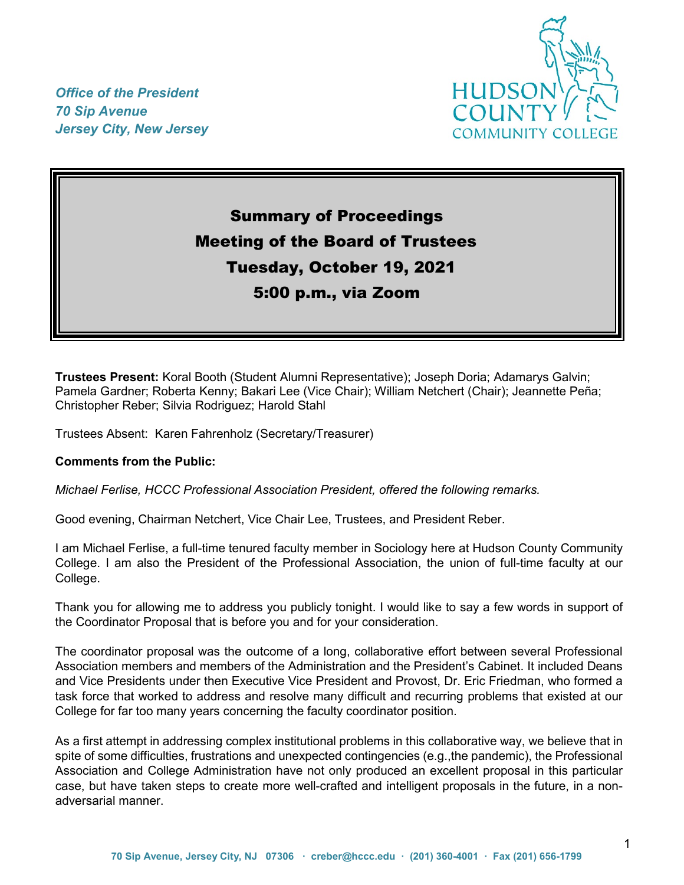*Office of the President 70 Sip Avenue Jersey City, New Jersey*



# Summary of Proceedings Meeting of the Board of Trustees Tuesday, October 19, 2021 5:00 p.m., via Zoom

**Trustees Present:** Koral Booth (Student Alumni Representative); Joseph Doria; Adamarys Galvin; Pamela Gardner; Roberta Kenny; Bakari Lee (Vice Chair); William Netchert (Chair); Jeannette Peña; Christopher Reber; Silvia Rodriguez; Harold Stahl

Trustees Absent: Karen Fahrenholz (Secretary/Treasurer)

#### **Comments from the Public:**

*Michael Ferlise, HCCC Professional Association President, offered the following remarks.*

Good evening, Chairman Netchert, Vice Chair Lee, Trustees, and President Reber.

I am Michael Ferlise, a full-time tenured faculty member in Sociology here at Hudson County Community College. I am also the President of the Professional Association, the union of full-time faculty at our College.

Thank you for allowing me to address you publicly tonight. I would like to say a few words in support of the Coordinator Proposal that is before you and for your consideration.

The coordinator proposal was the outcome of a long, collaborative effort between several Professional Association members and members of the Administration and the President's Cabinet. It included Deans and Vice Presidents under then Executive Vice President and Provost, Dr. Eric Friedman, who formed a task force that worked to address and resolve many difficult and recurring problems that existed at our College for far too many years concerning the faculty coordinator position.

As a first attempt in addressing complex institutional problems in this collaborative way, we believe that in spite of some difficulties, frustrations and unexpected contingencies (e.g.,the pandemic), the Professional Association and College Administration have not only produced an excellent proposal in this particular case, but have taken steps to create more well-crafted and intelligent proposals in the future, in a nonadversarial manner.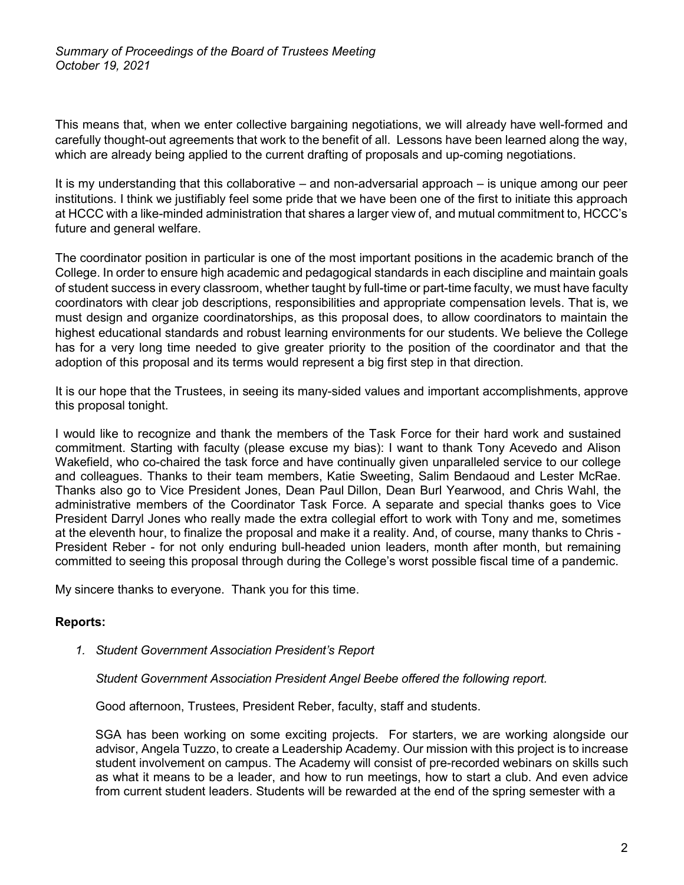*Summary of Proceedings of the Board of Trustees Meeting October 19, 2021*

This means that, when we enter collective bargaining negotiations, we will already have well-formed and carefully thought-out agreements that work to the benefit of all. Lessons have been learned along the way, which are already being applied to the current drafting of proposals and up-coming negotiations.

It is my understanding that this collaborative – and non-adversarial approach – is unique among our peer institutions. I think we justifiably feel some pride that we have been one of the first to initiate this approach at HCCC with a like-minded administration that shares a larger view of, and mutual commitment to, HCCC's future and general welfare.

The coordinator position in particular is one of the most important positions in the academic branch of the College. In order to ensure high academic and pedagogical standards in each discipline and maintain goals of student success in every classroom, whether taught by full-time or part-time faculty, we must have faculty coordinators with clear job descriptions, responsibilities and appropriate compensation levels. That is, we must design and organize coordinatorships, as this proposal does, to allow coordinators to maintain the highest educational standards and robust learning environments for our students. We believe the College has for a very long time needed to give greater priority to the position of the coordinator and that the adoption of this proposal and its terms would represent a big first step in that direction.

It is our hope that the Trustees, in seeing its many-sided values and important accomplishments, approve this proposal tonight.

I would like to recognize and thank the members of the Task Force for their hard work and sustained commitment. Starting with faculty (please excuse my bias): I want to thank Tony Acevedo and Alison Wakefield, who co-chaired the task force and have continually given unparalleled service to our college and colleagues. Thanks to their team members, Katie Sweeting, Salim Bendaoud and Lester McRae. Thanks also go to Vice President Jones, Dean Paul Dillon, Dean Burl Yearwood, and Chris Wahl, the administrative members of the Coordinator Task Force. A separate and special thanks goes to Vice President Darryl Jones who really made the extra collegial effort to work with Tony and me, sometimes at the eleventh hour, to finalize the proposal and make it a reality. And, of course, many thanks to Chris - President Reber - for not only enduring bull-headed union leaders, month after month, but remaining committed to seeing this proposal through during the College's worst possible fiscal time of a pandemic.

My sincere thanks to everyone. Thank you for this time.

# **Reports:**

*1. Student Government Association President's Report* 

*Student Government Association President Angel Beebe offered the following report.*

Good afternoon, Trustees, President Reber, faculty, staff and students.

SGA has been working on some exciting projects. For starters, we are working alongside our advisor, Angela Tuzzo, to create a Leadership Academy. Our mission with this project is to increase student involvement on campus. The Academy will consist of pre-recorded webinars on skills such as what it means to be a leader, and how to run meetings, how to start a club. And even advice from current student leaders. Students will be rewarded at the end of the spring semester with a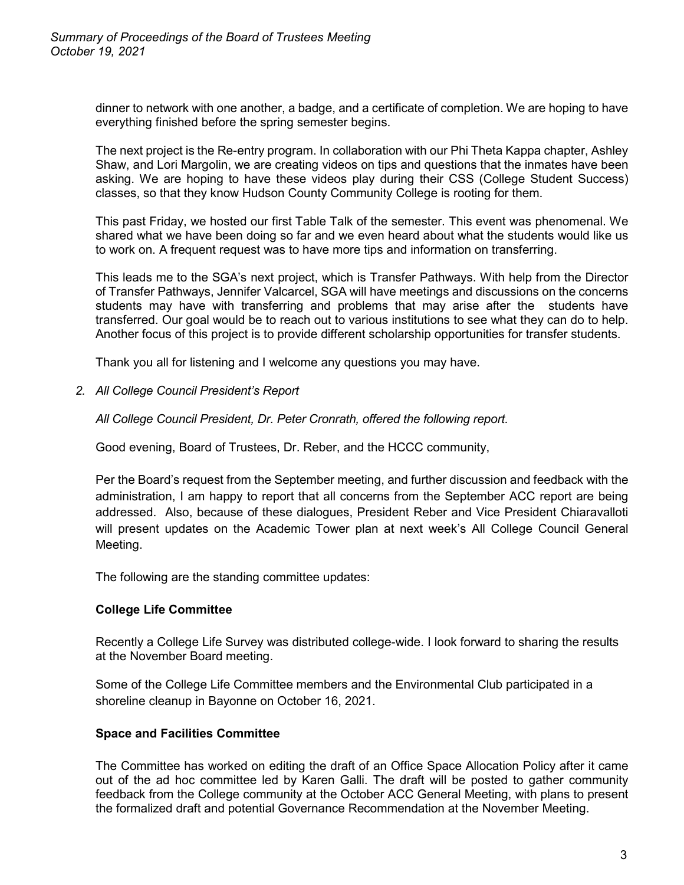dinner to network with one another, a badge, and a certificate of completion. We are hoping to have everything finished before the spring semester begins.

The next project is the Re-entry program. In collaboration with our Phi Theta Kappa chapter, Ashley Shaw, and Lori Margolin, we are creating videos on tips and questions that the inmates have been asking. We are hoping to have these videos play during their CSS (College Student Success) classes, so that they know Hudson County Community College is rooting for them.

This past Friday, we hosted our first Table Talk of the semester. This event was phenomenal. We shared what we have been doing so far and we even heard about what the students would like us to work on. A frequent request was to have more tips and information on transferring.

This leads me to the SGA's next project, which is Transfer Pathways. With help from the Director of Transfer Pathways, Jennifer Valcarcel, SGA will have meetings and discussions on the concerns students may have with transferring and problems that may arise after the students have transferred. Our goal would be to reach out to various institutions to see what they can do to help. Another focus of this project is to provide different scholarship opportunities for transfer students.

Thank you all for listening and I welcome any questions you may have.

*2. All College Council President's Report* 

*All College Council President, Dr. Peter Cronrath, offered the following report.*

Good evening, Board of Trustees, Dr. Reber, and the HCCC community,

Per the Board's request from the September meeting, and further discussion and feedback with the administration, I am happy to report that all concerns from the September ACC report are being addressed. Also, because of these dialogues, President Reber and Vice President Chiaravalloti will present updates on the Academic Tower plan at next week's All College Council General Meeting.

The following are the standing committee updates:

# **College Life Committee**

Recently a College Life Survey was distributed college-wide. I look forward to sharing the results at the November Board meeting.

Some of the College Life Committee members and the Environmental Club participated in a shoreline cleanup in Bayonne on October 16, 2021.

# **Space and Facilities Committee**

The Committee has worked on editing the draft of an Office Space Allocation Policy after it came out of the ad hoc committee led by Karen Galli. The draft will be posted to gather community feedback from the College community at the October ACC General Meeting, with plans to present the formalized draft and potential Governance Recommendation at the November Meeting.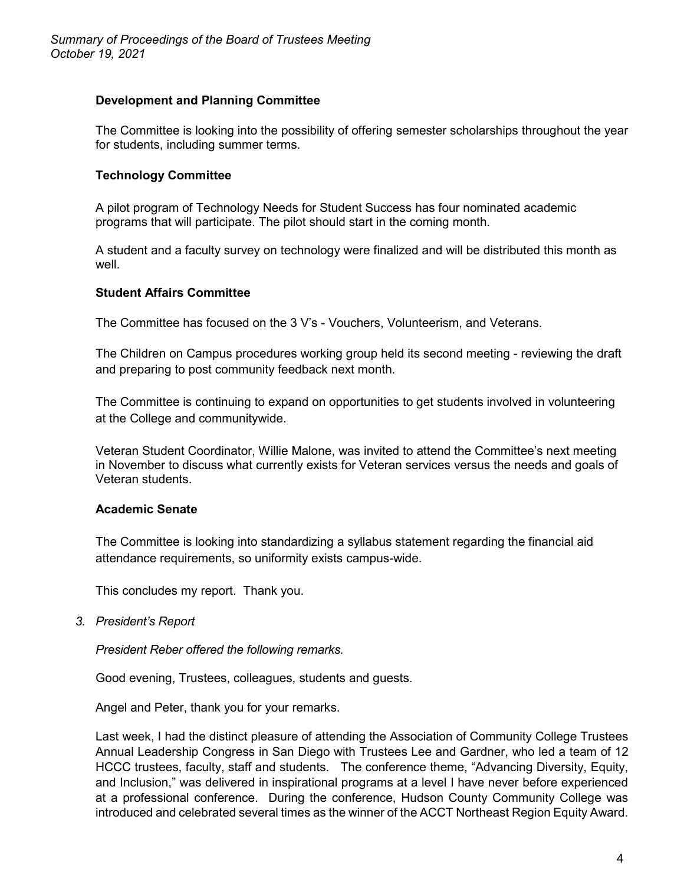# **Development and Planning Committee**

The Committee is looking into the possibility of offering semester scholarships throughout the year for students, including summer terms.

# **Technology Committee**

A pilot program of Technology Needs for Student Success has four nominated academic programs that will participate. The pilot should start in the coming month.

A student and a faculty survey on technology were finalized and will be distributed this month as well.

# **Student Affairs Committee**

The Committee has focused on the 3 V's - Vouchers, Volunteerism, and Veterans.

The Children on Campus procedures working group held its second meeting - reviewing the draft and preparing to post community feedback next month.

The Committee is continuing to expand on opportunities to get students involved in volunteering at the College and communitywide.

Veteran Student Coordinator, Willie Malone, was invited to attend the Committee's next meeting in November to discuss what currently exists for Veteran services versus the needs and goals of Veteran students.

# **Academic Senate**

The Committee is looking into standardizing a syllabus statement regarding the financial aid attendance requirements, so uniformity exists campus-wide.

This concludes my report. Thank you.

*3. President's Report*

*President Reber offered the following remarks.*

Good evening, Trustees, colleagues, students and guests.

Angel and Peter, thank you for your remarks.

Last week, I had the distinct pleasure of attending the Association of Community College Trustees Annual Leadership Congress in San Diego with Trustees Lee and Gardner, who led a team of 12 HCCC trustees, faculty, staff and students. The conference theme, "Advancing Diversity, Equity, and Inclusion," was delivered in inspirational programs at a level I have never before experienced at a professional conference. During the conference, Hudson County Community College was introduced and celebrated several times as the winner of the ACCT Northeast Region Equity Award.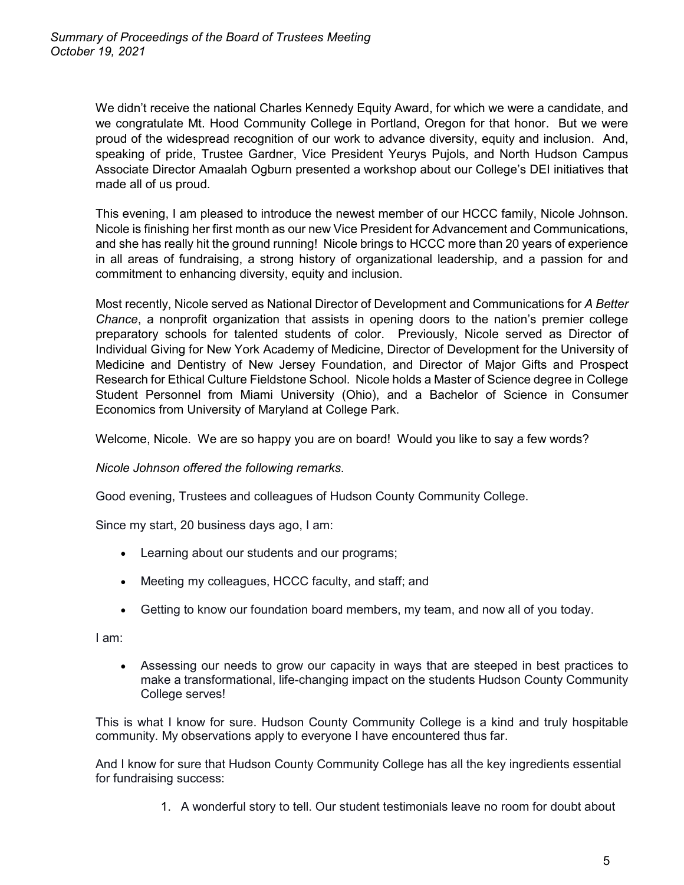We didn't receive the national Charles Kennedy Equity Award, for which we were a candidate, and we congratulate Mt. Hood Community College in Portland, Oregon for that honor. But we were proud of the widespread recognition of our work to advance diversity, equity and inclusion. And, speaking of pride, Trustee Gardner, Vice President Yeurys Pujols, and North Hudson Campus Associate Director Amaalah Ogburn presented a workshop about our College's DEI initiatives that made all of us proud.

This evening, I am pleased to introduce the newest member of our HCCC family, Nicole Johnson. Nicole is finishing her first month as our new Vice President for Advancement and Communications, and she has really hit the ground running! Nicole brings to HCCC more than 20 years of experience in all areas of fundraising, a strong history of organizational leadership, and a passion for and commitment to enhancing diversity, equity and inclusion.

Most recently, Nicole served as National Director of Development and Communications for *A Better Chance*, a nonprofit organization that assists in opening doors to the nation's premier college preparatory schools for talented students of color. Previously, Nicole served as Director of Individual Giving for New York Academy of Medicine, Director of Development for the University of Medicine and Dentistry of New Jersey Foundation, and Director of Major Gifts and Prospect Research for Ethical Culture Fieldstone School. Nicole holds a Master of Science degree in College Student Personnel from Miami University (Ohio), and a Bachelor of Science in Consumer Economics from University of Maryland at College Park.

Welcome, Nicole. We are so happy you are on board! Would you like to say a few words?

*Nicole Johnson offered the following remarks*.

Good evening, Trustees and colleagues of Hudson County Community College.

Since my start, 20 business days ago, I am:

- Learning about our students and our programs;
- Meeting my colleagues, HCCC faculty, and staff; and
- Getting to know our foundation board members, my team, and now all of you today.

I am:

• Assessing our needs to grow our capacity in ways that are steeped in best practices to make a transformational, life-changing impact on the students Hudson County Community College serves!

This is what I know for sure. Hudson County Community College is a kind and truly hospitable community. My observations apply to everyone I have encountered thus far.

And I know for sure that Hudson County Community College has all the key ingredients essential for fundraising success:

1. A wonderful story to tell. Our student testimonials leave no room for doubt about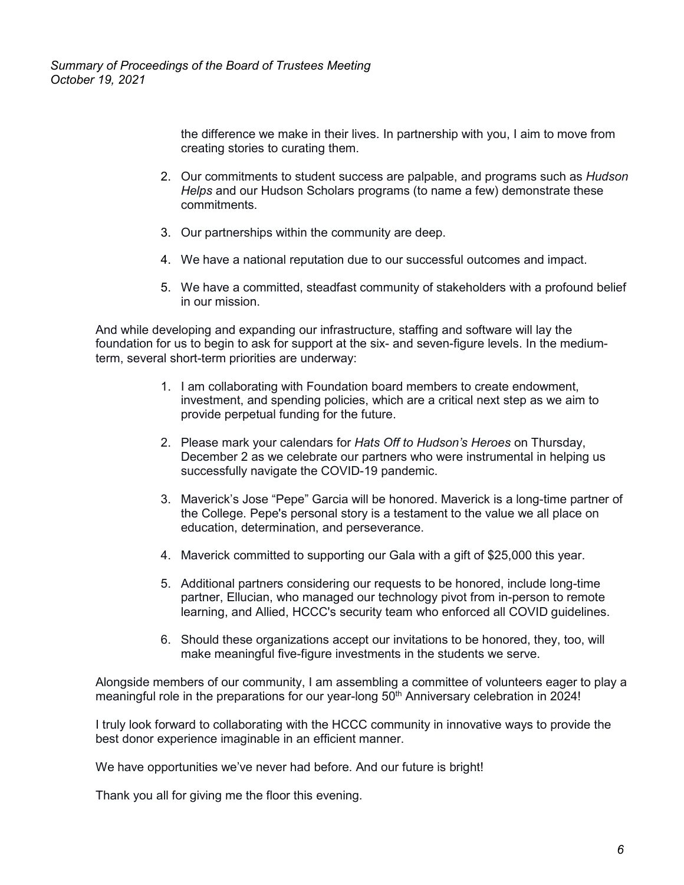the difference we make in their lives. In partnership with you, I aim to move from creating stories to curating them.

- 2. Our commitments to student success are palpable, and programs such as *Hudson Helps* and our Hudson Scholars programs (to name a few) demonstrate these commitments.
- 3. Our partnerships within the community are deep.
- 4. We have a national reputation due to our successful outcomes and impact.
- 5. We have a committed, steadfast community of stakeholders with a profound belief in our mission.

And while developing and expanding our infrastructure, staffing and software will lay the foundation for us to begin to ask for support at the six- and seven-figure levels. In the mediumterm, several short-term priorities are underway:

- 1. I am collaborating with Foundation board members to create endowment, investment, and spending policies, which are a critical next step as we aim to provide perpetual funding for the future.
- 2. Please mark your calendars for *Hats Off to Hudson's Heroes* on Thursday, December 2 as we celebrate our partners who were instrumental in helping us successfully navigate the COVID-19 pandemic.
- 3. Maverick's Jose "Pepe" Garcia will be honored. Maverick is a long-time partner of the College. Pepe's personal story is a testament to the value we all place on education, determination, and perseverance.
- 4. Maverick committed to supporting our Gala with a gift of \$25,000 this year.
- 5. Additional partners considering our requests to be honored, include long-time partner, Ellucian, who managed our technology pivot from in-person to remote learning, and Allied, HCCC's security team who enforced all COVID guidelines.
- 6. Should these organizations accept our invitations to be honored, they, too, will make meaningful five-figure investments in the students we serve.

Alongside members of our community, I am assembling a committee of volunteers eager to play a meaningful role in the preparations for our year-long  $50<sup>th</sup>$  Anniversary celebration in 2024!

I truly look forward to collaborating with the HCCC community in innovative ways to provide the best donor experience imaginable in an efficient manner.

We have opportunities we've never had before. And our future is bright!

Thank you all for giving me the floor this evening.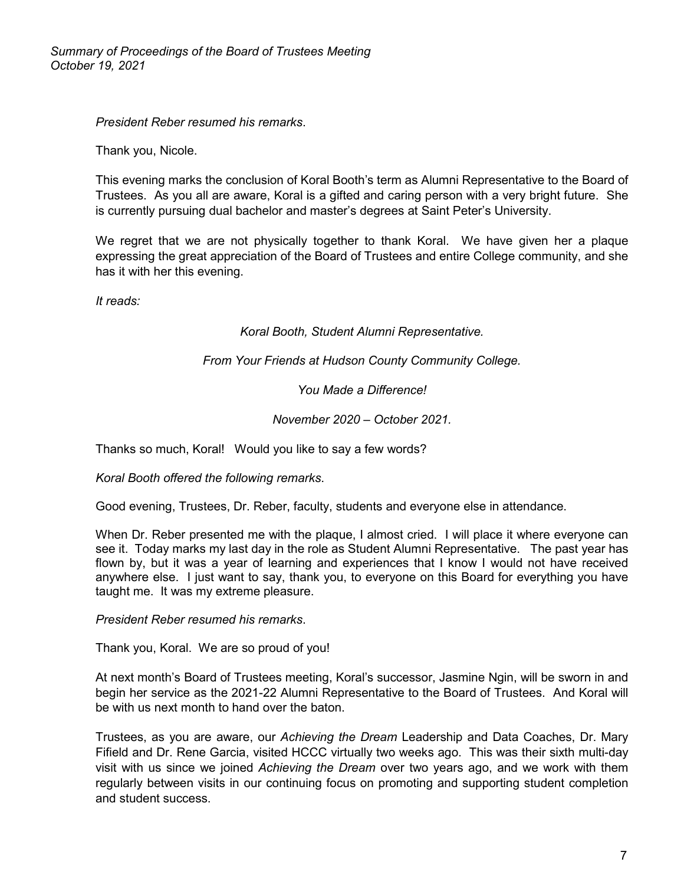*President Reber resumed his remarks*.

Thank you, Nicole.

This evening marks the conclusion of Koral Booth's term as Alumni Representative to the Board of Trustees. As you all are aware, Koral is a gifted and caring person with a very bright future. She is currently pursuing dual bachelor and master's degrees at Saint Peter's University.

We regret that we are not physically together to thank Koral. We have given her a plaque expressing the great appreciation of the Board of Trustees and entire College community, and she has it with her this evening.

*It reads:*

# *Koral Booth, Student Alumni Representative.*

# *From Your Friends at Hudson County Community College.*

*You Made a Difference!*

# *November 2020 – October 2021.*

Thanks so much, Koral! Would you like to say a few words?

*Koral Booth offered the following remarks*.

Good evening, Trustees, Dr. Reber, faculty, students and everyone else in attendance.

When Dr. Reber presented me with the plaque, I almost cried. I will place it where everyone can see it. Today marks my last day in the role as Student Alumni Representative. The past year has flown by, but it was a year of learning and experiences that I know I would not have received anywhere else. I just want to say, thank you, to everyone on this Board for everything you have taught me. It was my extreme pleasure.

*President Reber resumed his remarks*.

Thank you, Koral. We are so proud of you!

At next month's Board of Trustees meeting, Koral's successor, Jasmine Ngin, will be sworn in and begin her service as the 2021-22 Alumni Representative to the Board of Trustees. And Koral will be with us next month to hand over the baton.

Trustees, as you are aware, our *Achieving the Dream* Leadership and Data Coaches, Dr. Mary Fifield and Dr. Rene Garcia, visited HCCC virtually two weeks ago. This was their sixth multi-day visit with us since we joined *Achieving the Dream* over two years ago, and we work with them regularly between visits in our continuing focus on promoting and supporting student completion and student success.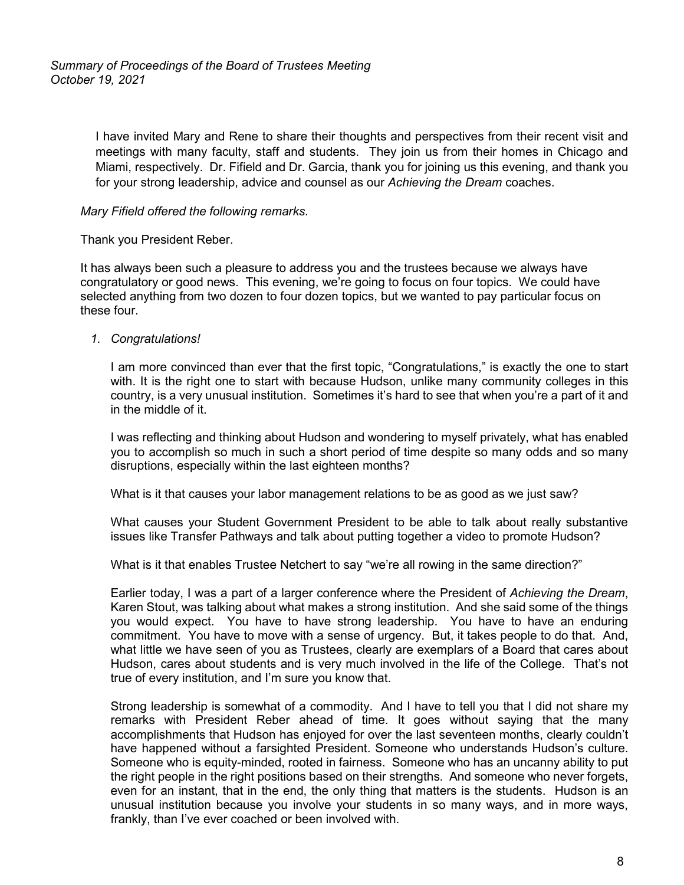I have invited Mary and Rene to share their thoughts and perspectives from their recent visit and meetings with many faculty, staff and students. They join us from their homes in Chicago and Miami, respectively. Dr. Fifield and Dr. Garcia, thank you for joining us this evening, and thank you for your strong leadership, advice and counsel as our *Achieving the Dream* coaches.

## *Mary Fifield offered the following remarks.*

Thank you President Reber.

It has always been such a pleasure to address you and the trustees because we always have congratulatory or good news. This evening, we're going to focus on four topics. We could have selected anything from two dozen to four dozen topics, but we wanted to pay particular focus on these four.

## *1. Congratulations!*

I am more convinced than ever that the first topic, "Congratulations," is exactly the one to start with. It is the right one to start with because Hudson, unlike many community colleges in this country, is a very unusual institution. Sometimes it's hard to see that when you're a part of it and in the middle of it.

I was reflecting and thinking about Hudson and wondering to myself privately, what has enabled you to accomplish so much in such a short period of time despite so many odds and so many disruptions, especially within the last eighteen months?

What is it that causes your labor management relations to be as good as we just saw?

What causes your Student Government President to be able to talk about really substantive issues like Transfer Pathways and talk about putting together a video to promote Hudson?

What is it that enables Trustee Netchert to say "we're all rowing in the same direction?"

Earlier today, I was a part of a larger conference where the President of *Achieving the Dream*, Karen Stout, was talking about what makes a strong institution. And she said some of the things you would expect. You have to have strong leadership. You have to have an enduring commitment. You have to move with a sense of urgency. But, it takes people to do that. And, what little we have seen of you as Trustees, clearly are exemplars of a Board that cares about Hudson, cares about students and is very much involved in the life of the College. That's not true of every institution, and I'm sure you know that.

Strong leadership is somewhat of a commodity. And I have to tell you that I did not share my remarks with President Reber ahead of time. It goes without saying that the many accomplishments that Hudson has enjoyed for over the last seventeen months, clearly couldn't have happened without a farsighted President. Someone who understands Hudson's culture. Someone who is equity-minded, rooted in fairness. Someone who has an uncanny ability to put the right people in the right positions based on their strengths. And someone who never forgets, even for an instant, that in the end, the only thing that matters is the students. Hudson is an unusual institution because you involve your students in so many ways, and in more ways, frankly, than I've ever coached or been involved with.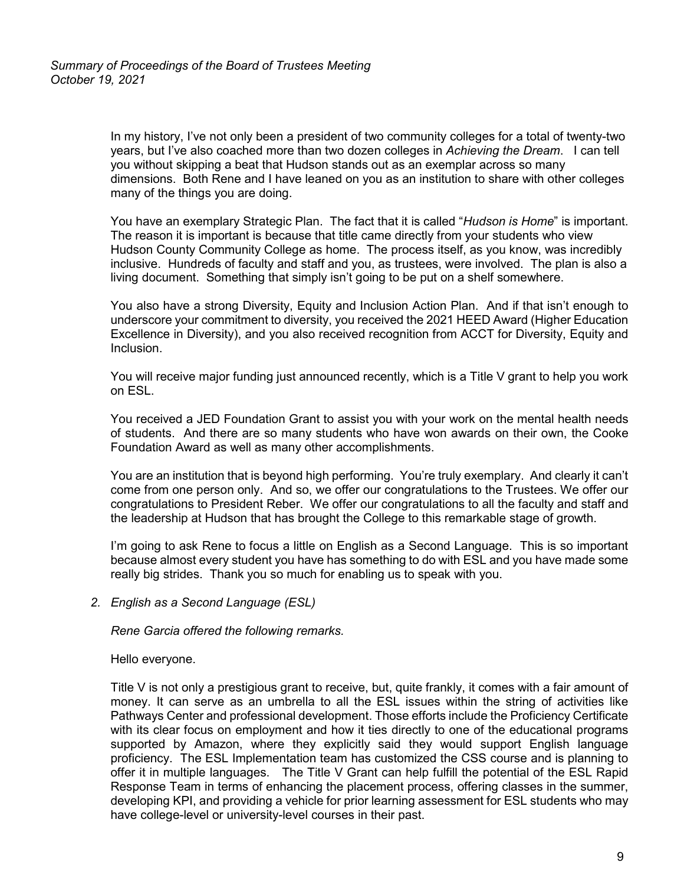In my history, I've not only been a president of two community colleges for a total of twenty-two years, but I've also coached more than two dozen colleges in *Achieving the Dream*. I can tell you without skipping a beat that Hudson stands out as an exemplar across so many dimensions. Both Rene and I have leaned on you as an institution to share with other colleges many of the things you are doing.

You have an exemplary Strategic Plan. The fact that it is called "*Hudson is Home*" is important. The reason it is important is because that title came directly from your students who view Hudson County Community College as home. The process itself, as you know, was incredibly inclusive. Hundreds of faculty and staff and you, as trustees, were involved. The plan is also a living document. Something that simply isn't going to be put on a shelf somewhere.

You also have a strong Diversity, Equity and Inclusion Action Plan. And if that isn't enough to underscore your commitment to diversity, you received the 2021 HEED Award (Higher Education Excellence in Diversity), and you also received recognition from ACCT for Diversity, Equity and Inclusion.

You will receive major funding just announced recently, which is a Title V grant to help you work on ESL.

You received a JED Foundation Grant to assist you with your work on the mental health needs of students. And there are so many students who have won awards on their own, the Cooke Foundation Award as well as many other accomplishments.

You are an institution that is beyond high performing. You're truly exemplary. And clearly it can't come from one person only. And so, we offer our congratulations to the Trustees. We offer our congratulations to President Reber. We offer our congratulations to all the faculty and staff and the leadership at Hudson that has brought the College to this remarkable stage of growth.

I'm going to ask Rene to focus a little on English as a Second Language. This is so important because almost every student you have has something to do with ESL and you have made some really big strides. Thank you so much for enabling us to speak with you.

*2. English as a Second Language (ESL)*

*Rene Garcia offered the following remarks.*

Hello everyone.

Title V is not only a prestigious grant to receive, but, quite frankly, it comes with a fair amount of money. It can serve as an umbrella to all the ESL issues within the string of activities like Pathways Center and professional development. Those efforts include the Proficiency Certificate with its clear focus on employment and how it ties directly to one of the educational programs supported by Amazon, where they explicitly said they would support English language proficiency. The ESL Implementation team has customized the CSS course and is planning to offer it in multiple languages. The Title V Grant can help fulfill the potential of the ESL Rapid Response Team in terms of enhancing the placement process, offering classes in the summer, developing KPI, and providing a vehicle for prior learning assessment for ESL students who may have college-level or university-level courses in their past.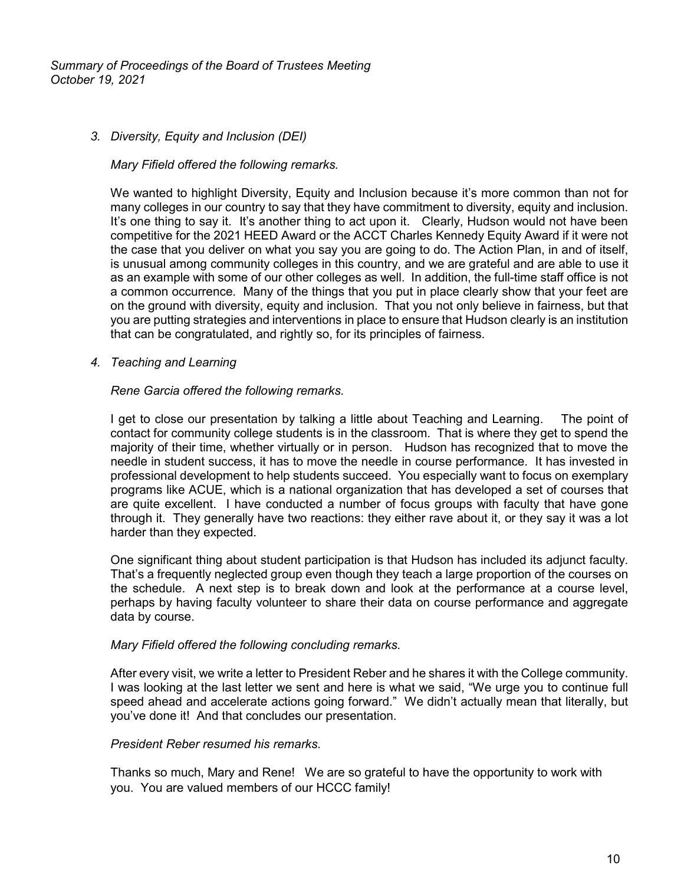## *3. Diversity, Equity and Inclusion (DEI)*

#### *Mary Fifield offered the following remarks.*

We wanted to highlight Diversity, Equity and Inclusion because it's more common than not for many colleges in our country to say that they have commitment to diversity, equity and inclusion. It's one thing to say it. It's another thing to act upon it. Clearly, Hudson would not have been competitive for the 2021 HEED Award or the ACCT Charles Kennedy Equity Award if it were not the case that you deliver on what you say you are going to do. The Action Plan, in and of itself, is unusual among community colleges in this country, and we are grateful and are able to use it as an example with some of our other colleges as well. In addition, the full-time staff office is not a common occurrence. Many of the things that you put in place clearly show that your feet are on the ground with diversity, equity and inclusion. That you not only believe in fairness, but that you are putting strategies and interventions in place to ensure that Hudson clearly is an institution that can be congratulated, and rightly so, for its principles of fairness.

## *4. Teaching and Learning*

## *Rene Garcia offered the following remarks.*

I get to close our presentation by talking a little about Teaching and Learning. The point of contact for community college students is in the classroom. That is where they get to spend the majority of their time, whether virtually or in person. Hudson has recognized that to move the needle in student success, it has to move the needle in course performance. It has invested in professional development to help students succeed. You especially want to focus on exemplary programs like ACUE, which is a national organization that has developed a set of courses that are quite excellent. I have conducted a number of focus groups with faculty that have gone through it. They generally have two reactions: they either rave about it, or they say it was a lot harder than they expected.

One significant thing about student participation is that Hudson has included its adjunct faculty. That's a frequently neglected group even though they teach a large proportion of the courses on the schedule. A next step is to break down and look at the performance at a course level, perhaps by having faculty volunteer to share their data on course performance and aggregate data by course.

#### *Mary Fifield offered the following concluding remarks.*

After every visit, we write a letter to President Reber and he shares it with the College community. I was looking at the last letter we sent and here is what we said, "We urge you to continue full speed ahead and accelerate actions going forward." We didn't actually mean that literally, but you've done it! And that concludes our presentation.

#### *President Reber resumed his remarks.*

Thanks so much, Mary and Rene! We are so grateful to have the opportunity to work with you. You are valued members of our HCCC family!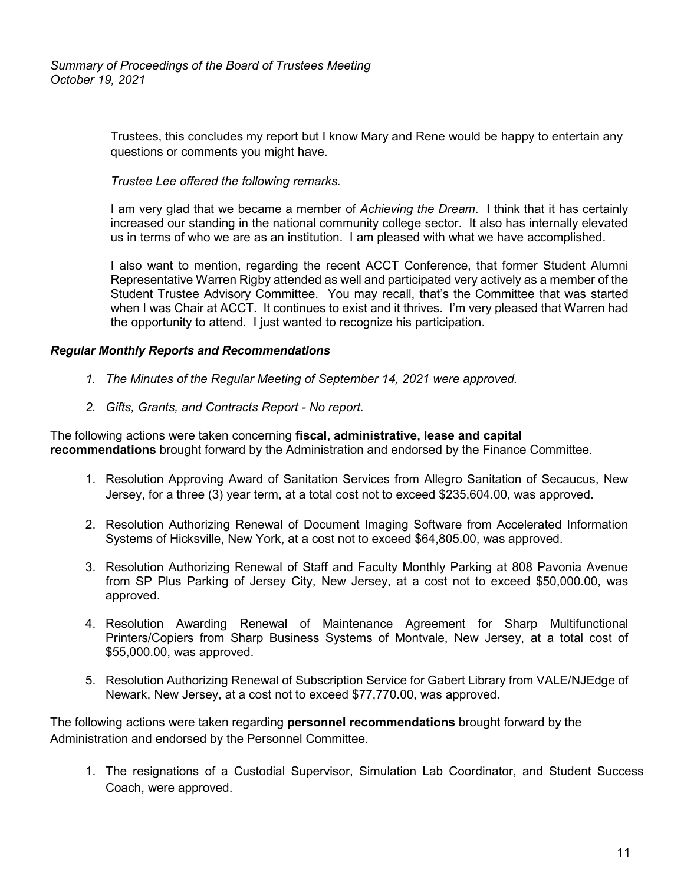Trustees, this concludes my report but I know Mary and Rene would be happy to entertain any questions or comments you might have.

# *Trustee Lee offered the following remarks.*

I am very glad that we became a member of *Achieving the Dream*. I think that it has certainly increased our standing in the national community college sector. It also has internally elevated us in terms of who we are as an institution. I am pleased with what we have accomplished.

I also want to mention, regarding the recent ACCT Conference, that former Student Alumni Representative Warren Rigby attended as well and participated very actively as a member of the Student Trustee Advisory Committee. You may recall, that's the Committee that was started when I was Chair at ACCT. It continues to exist and it thrives. I'm very pleased that Warren had the opportunity to attend. I just wanted to recognize his participation.

# *Regular Monthly Reports and Recommendations*

- *1. The Minutes of the Regular Meeting of September 14, 2021 were approved.*
- *2. Gifts, Grants, and Contracts Report - No report.*

The following actions were taken concerning **fiscal, administrative, lease and capital recommendations** brought forward by the Administration and endorsed by the Finance Committee.

- 1. Resolution Approving Award of Sanitation Services from Allegro Sanitation of Secaucus, New Jersey, for a three (3) year term, at a total cost not to exceed \$235,604.00, was approved.
- 2. Resolution Authorizing Renewal of Document Imaging Software from Accelerated Information Systems of Hicksville, New York, at a cost not to exceed \$64,805.00, was approved.
- 3. Resolution Authorizing Renewal of Staff and Faculty Monthly Parking at 808 Pavonia Avenue from SP Plus Parking of Jersey City, New Jersey, at a cost not to exceed \$50,000.00, was approved.
- 4. Resolution Awarding Renewal of Maintenance Agreement for Sharp Multifunctional Printers/Copiers from Sharp Business Systems of Montvale, New Jersey, at a total cost of \$55,000.00, was approved.
- 5. Resolution Authorizing Renewal of Subscription Service for Gabert Library from VALE/NJEdge of Newark, New Jersey, at a cost not to exceed \$77,770.00, was approved.

The following actions were taken regarding **personnel recommendations** brought forward by the Administration and endorsed by the Personnel Committee.

1. The resignations of a Custodial Supervisor, Simulation Lab Coordinator, and Student Success Coach, were approved.